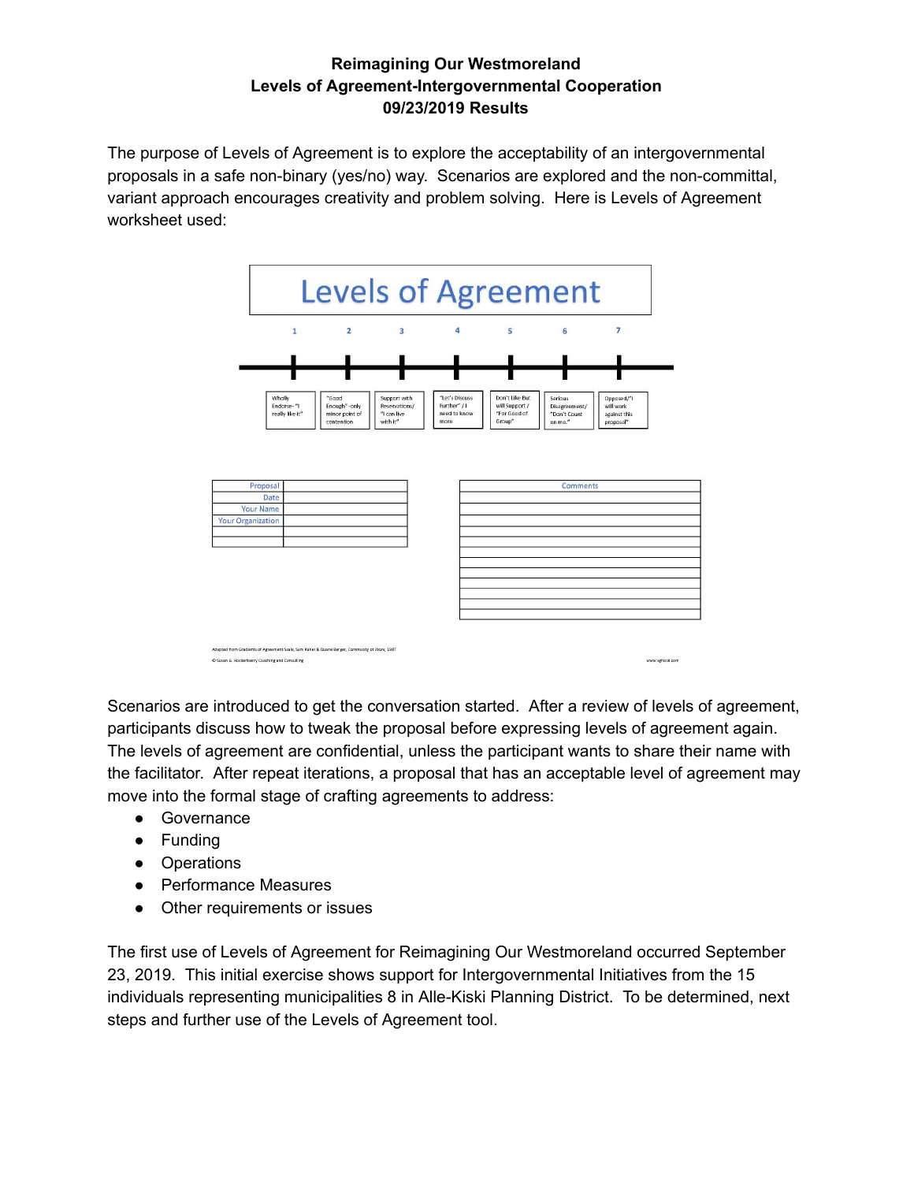## **Reimagining Our Westmoreland Levels of Agreement-Intergovernmental Cooperation 09/23/2019 Results**

The purpose of Levels of Agreement is to explore the acceptability of an intergovernmental proposals in a safe non-binary (yes/no) way. Scenarios are explored and the non-committal, variant approach encourages creativity and problem solving. Here is Levels of Agreement worksheet used:



Scenarios are introduced to get the conversation started. After a review of levels of agreement, participants discuss how to tweak the proposal before expressing levels of agreement again. The levels of agreement are confidential, unless the participant wants to share their name with the facilitator. After repeat iterations, a proposal that has an acceptable level of agreement may move into the formal stage of crafting agreements to address:

- Governance
- Funding
- Operations
- Performance Measures
- Other requirements or issues

The first use of Levels of Agreement for Reimagining Our Westmoreland occurred September 23, 2019. This initial exercise shows support for Intergovernmental Initiatives from the 15 individuals representing municipalities 8 in Alle-Kiski Planning District. To be determined, next steps and further use of the Levels of Agreement tool.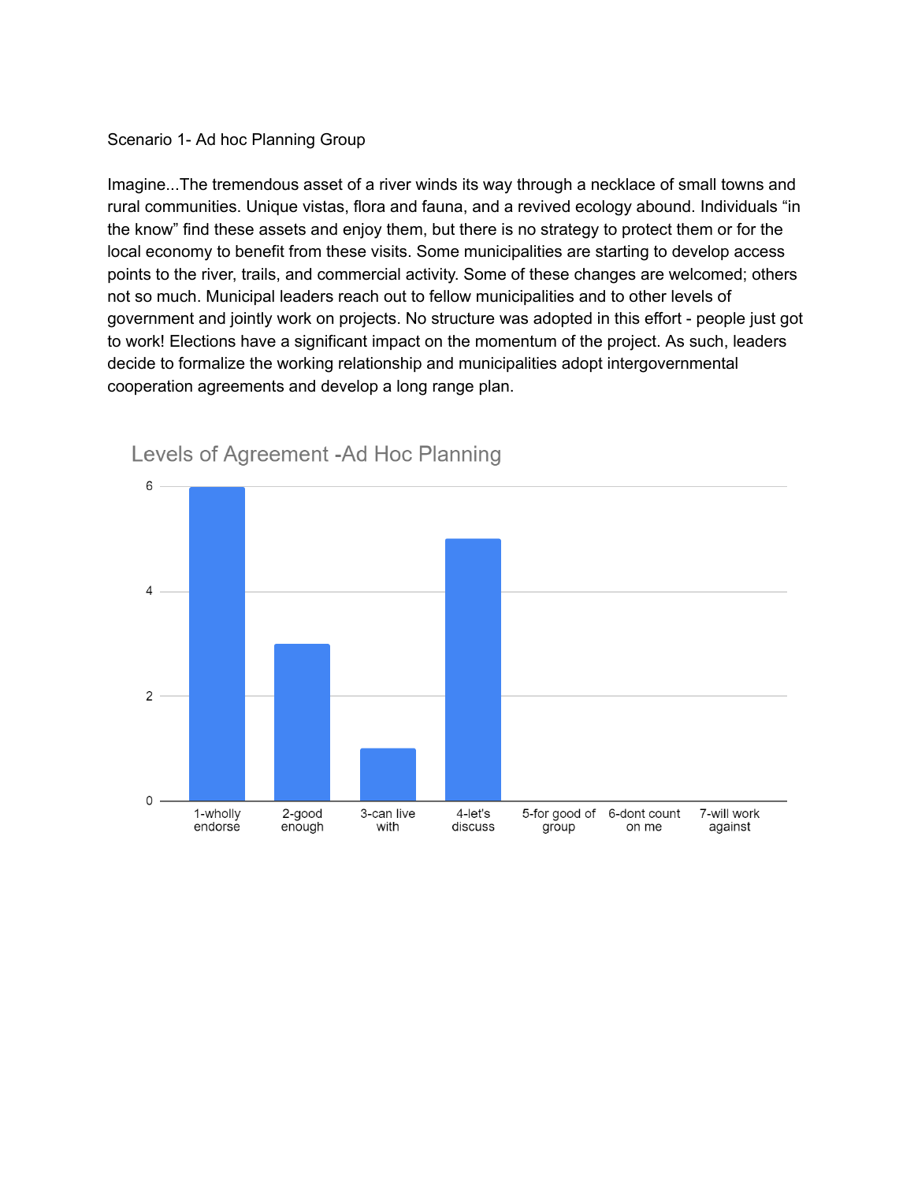#### Scenario 1- Ad hoc Planning Group

Imagine...The tremendous asset of a river winds its way through a necklace of small towns and rural communities. Unique vistas, flora and fauna, and a revived ecology abound. Individuals "in the know" find these assets and enjoy them, but there is no strategy to protect them or for the local economy to benefit from these visits. Some municipalities are starting to develop access points to the river, trails, and commercial activity. Some of these changes are welcomed; others not so much. Municipal leaders reach out to fellow municipalities and to other levels of government and jointly work on projects. No structure was adopted in this effort - people just got to work! Elections have a significant impact on the momentum of the project. As such, leaders decide to formalize the working relationship and municipalities adopt intergovernmental cooperation agreements and develop a long range plan.



# Levels of Agreement -Ad Hoc Planning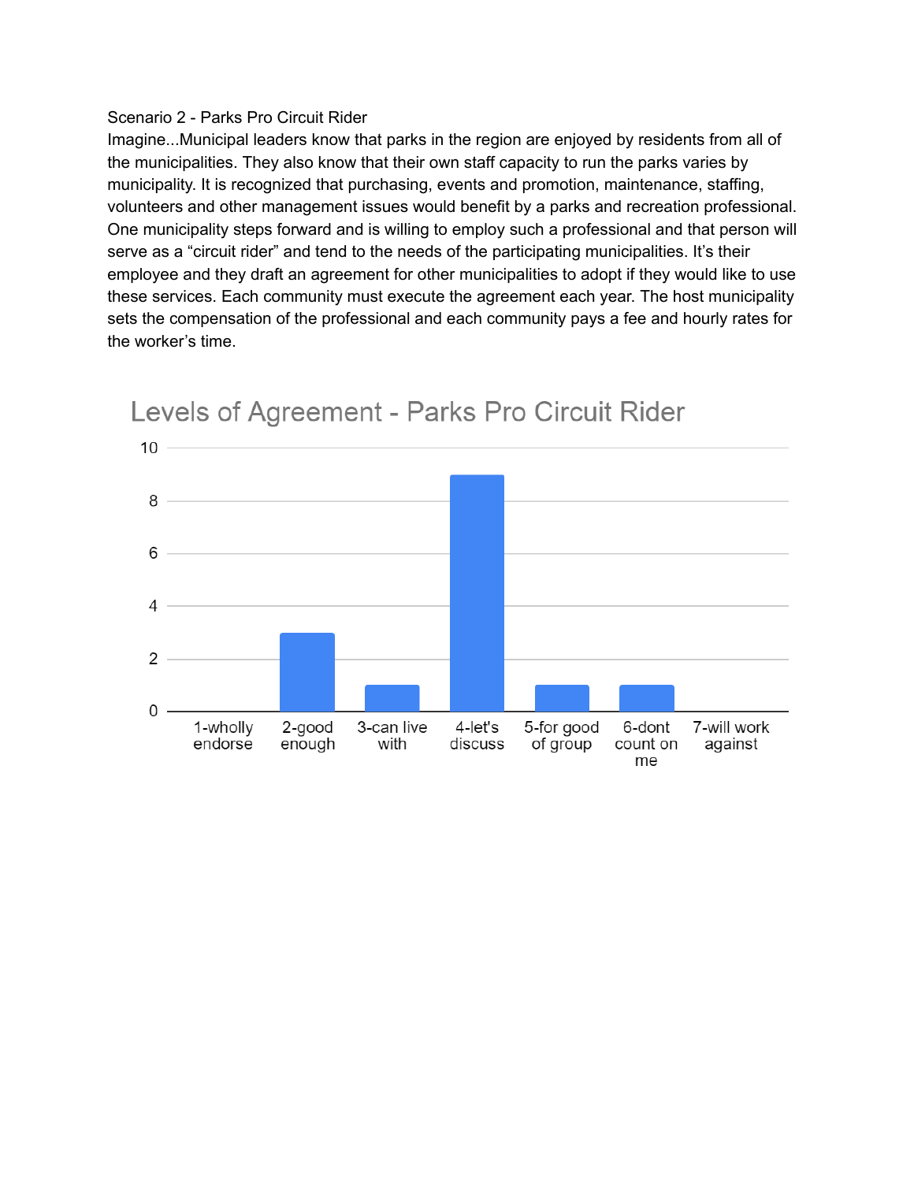### Scenario 2 - Parks Pro Circuit Rider

Imagine...Municipal leaders know that parks in the region are enjoyed by residents from all of the municipalities. They also know that their own staff capacity to run the parks varies by municipality. It is recognized that purchasing, events and promotion, maintenance, staffing, volunteers and other management issues would benefit by a parks and recreation professional. One municipality steps forward and is willing to employ such a professional and that person will serve as a "circuit rider" and tend to the needs of the participating municipalities. It's their employee and they draft an agreement for other municipalities to adopt if they would like to use these services. Each community must execute the agreement each year. The host municipality sets the compensation of the professional and each community pays a fee and hourly rates for the worker's time.



# Levels of Agreement - Parks Pro Circuit Rider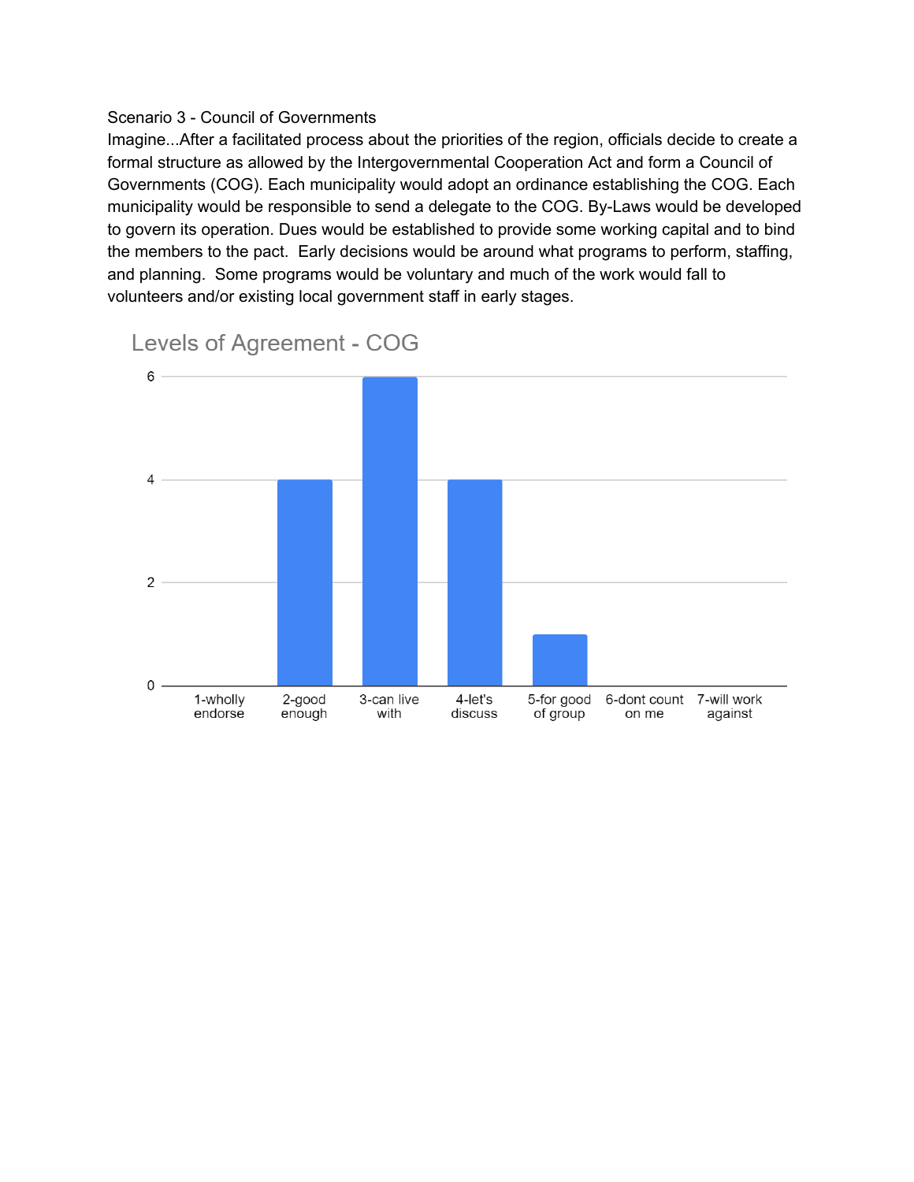### Scenario 3 - Council of Governments

Imagine...After a facilitated process about the priorities of the region, officials decide to create a formal structure as allowed by the Intergovernmental Cooperation Act and form a Council of Governments (COG). Each municipality would adopt an ordinance establishing the COG. Each municipality would be responsible to send a delegate to the COG. By-Laws would be developed to govern its operation. Dues would be established to provide some working capital and to bind the members to the pact. Early decisions would be around what programs to perform, staffing, and planning. Some programs would be voluntary and much of the work would fall to volunteers and/or existing local government staff in early stages.



Levels of Agreement - COG